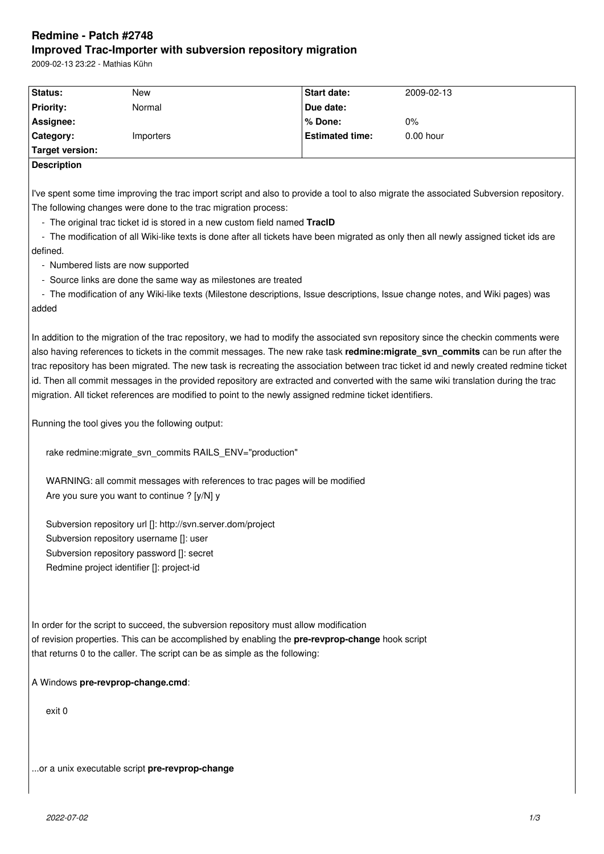# **Redmine - Patch #2748 Improved Trac-Importer with subversion repository migration**

2009-02-13 23:22 - Mathias Kühn

| Status:          | New       | Start date:            | 2009-02-13  |
|------------------|-----------|------------------------|-------------|
| <b>Priority:</b> | Normal    | Due date:              |             |
| Assignee:        |           | ∣% Done:               | $0\%$       |
| <b>Category:</b> | Importers | <b>Estimated time:</b> | $0.00$ hour |
| Target version:  |           |                        |             |

### **Description**

I've spent some time improving the trac import script and also to provide a tool to also migrate the associated Subversion repository. The following changes were done to the trac migration process:

- The original trac ticket id is stored in a new custom field named **TracID**

 - The modification of all Wiki-like texts is done after all tickets have been migrated as only then all newly assigned ticket ids are defined.

- Numbered lists are now supported

- Source links are done the same way as milestones are treated

 - The modification of any Wiki-like texts (Milestone descriptions, Issue descriptions, Issue change notes, and Wiki pages) was added

In addition to the migration of the trac repository, we had to modify the associated svn repository since the checkin comments were also having references to tickets in the commit messages. The new rake task **redmine:migrate svn\_commits** can be run after the trac repository has been migrated. The new task is recreating the association between trac ticket id and newly created redmine ticket id. Then all commit messages in the provided repository are extracted and converted with the same wiki translation during the trac migration. All ticket references are modified to point to the newly assigned redmine ticket identifiers.

Running the tool gives you the following output:

rake redmine: migrate\_svn\_commits RAILS\_ENV="production"

WARNING: all commit messages with references to trac pages will be modified Are you sure you want to continue ? [y/N] y

Subversion repository url []: http://svn.server.dom/project Subversion repository username []: user Subversion repository password []: secret Redmine project identifier []: project-id

In order for the script to succeed, the subversion repository must allow modification of revision properties. This can be accomplished by enabling the **pre-revprop-change** hook script that returns 0 to the caller. The script can be as simple as the following:

A Windows **pre-revprop-change.cmd**:

exit 0

...or a unix executable script **pre-revprop-change**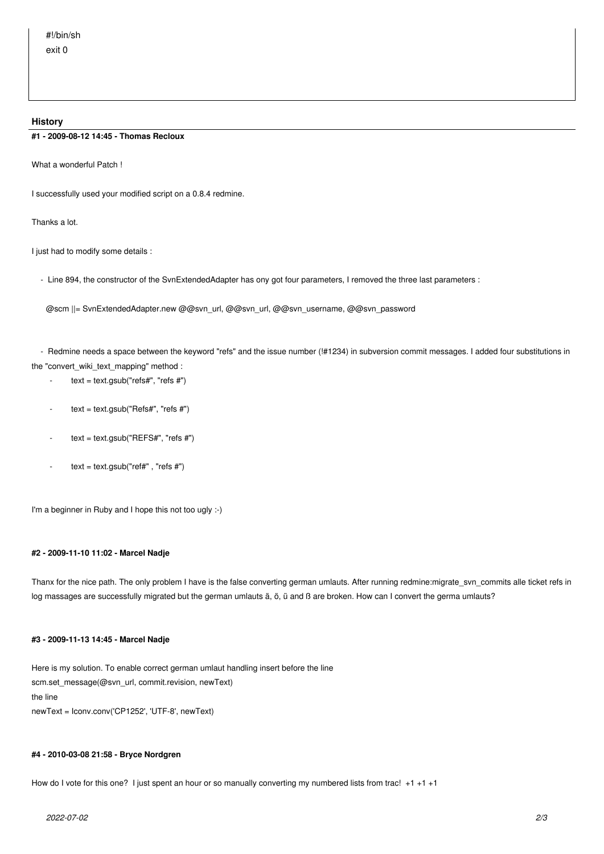#### **History**

#### **#1 - 2009-08-12 14:45 - Thomas Recloux**

What a wonderful Patch !

I successfully used your modified script on a 0.8.4 redmine.

Thanks a lot.

I just had to modify some details :

- Line 894, the constructor of the SvnExtendedAdapter has ony got four parameters, I removed the three last parameters :

@scm ||= SvnExtendedAdapter.new @@svn\_url, @@svn\_url, @@svn\_username, @@svn\_password

 - Redmine needs a space between the keyword "refs" and the issue number (!#1234) in subversion commit messages. I added four substitutions in the "convert\_wiki\_text\_mapping" method :

- $-text = text.gsub("refs#", "refs #")$
- $text = text.gsub("Refs#", "refs #")$
- $text = text.gsub("REFS#", "refs #")$
- $text = text.gsub("ref#", "refs #")$

I'm a beginner in Ruby and I hope this not too ugly :-)

#### **#2 - 2009-11-10 11:02 - Marcel Nadje**

Thanx for the nice path. The only problem I have is the false converting german umlauts. After running redmine:migrate\_svn\_commits alle ticket refs in log massages are successfully migrated but the german umlauts ä, ö, ü and ß are broken. How can I convert the germa umlauts?

#### **#3 - 2009-11-13 14:45 - Marcel Nadje**

Here is my solution. To enable correct german umlaut handling insert before the line scm.set\_message(@svn\_url, commit.revision, newText) the line newText = Iconv.conv('CP1252', 'UTF-8', newText)

#### **#4 - 2010-03-08 21:58 - Bryce Nordgren**

How do I vote for this one? I just spent an hour or so manually converting my numbered lists from trac! +1 +1 +1